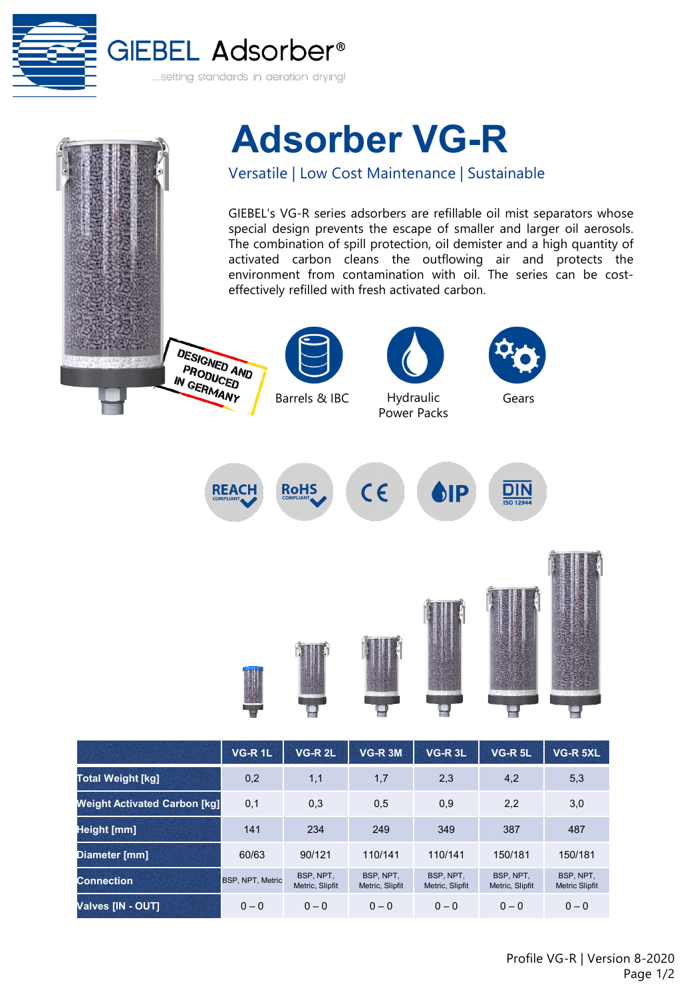



|                                     | VG-R 1L                 | <b>VG-R 2L</b>               | VG-R 3M                      | VG-R <sub>3L</sub>           | <b>VG-R 5L</b>               | VG-R 5XL                           |
|-------------------------------------|-------------------------|------------------------------|------------------------------|------------------------------|------------------------------|------------------------------------|
| <b>Total Weight [kg]</b>            | 0,2                     | 1,1                          | 1,7                          | 2,3                          | 4,2                          | 5,3                                |
| <b>Weight Activated Carbon [kg]</b> | 0,1                     | 0,3                          | 0,5                          | 0,9                          | 2,2                          | 3,0                                |
| Height [mm]                         | 141                     | 234                          | 249                          | 349                          | 387                          | 487                                |
| Diameter [mm]                       | 60/63                   | 90/121                       | 110/141                      | 110/141                      | 150/181                      | 150/181                            |
| <b>Connection</b>                   | <b>BSP, NPT, Metric</b> | BSP, NPT.<br>Metric, Slipfit | BSP, NPT.<br>Metric, Slipfit | BSP, NPT.<br>Metric, Slipfit | BSP, NPT.<br>Metric, Slipfit | BSP, NPT.<br><b>Metric Slipfit</b> |
| <b>Valves [IN - OUT]</b>            | $0 - 0$                 | $0 - 0$                      | $0 - 0$                      | $0 - 0$                      | $0 - 0$                      | $0 - 0$                            |